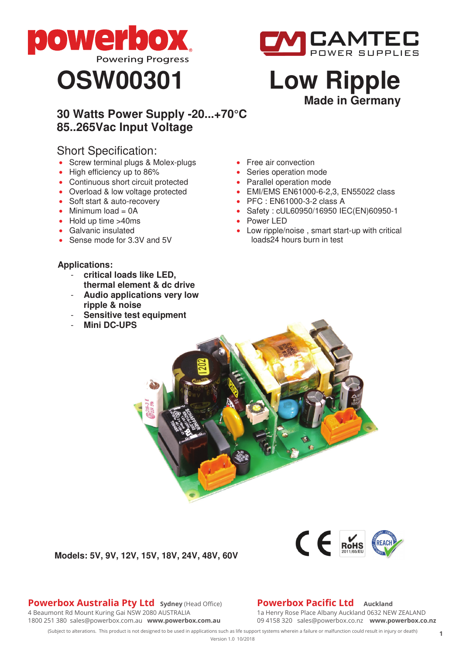





# **Made in Germany**

# **30 Watts Power Supply -20...+70°C 85..265Vac Input Voltage**

# Short Specification:

- Screw terminal plugs & Molex-plugs
- High efficiency up to 86%
- Continuous short circuit protected
- Overload & low voltage protected
- Soft start & auto-recovery
- Minimum  $load = OA$
- Hold up time >40ms
- Galvanic insulated
- Sense mode for 3.3V and 5V

## **Applications:**

- **critical loads like LED,**
- **thermal element & dc drive** - **Audio applications very low**
- **ripple & noise**
- **Sensitive test equipment**
- **Mini DC-UPS**
- Free air convection
- Series operation mode
- Parallel operation mode
- EMI/EMS EN61000-6-2,3, EN55022 class
- PFC : EN61000-3-2 class A
- Safety : cUL60950/16950 IEC(EN)60950-1
- Power LED
- Low ripple/noise, smart start-up with critical loads24 hours burn in test

**Models: 5V, 9V, 12V, 15V, 18V, 24V, 48V, 60V**



1a Henry Rose Place Albany Auckland 0632 NEW ZEALAND 09 4158 320 sales@powerbox.co.nz **www.powerbox.co.nz Powerbox Pacific Ltd** Auckland

 $f \in \mathbb{R}$ 

(Subject to alterations. This product is not designed to be used in applications such as life support systems wherein a failure or malfunction could result in injury or death) Version 1.0 10/2018 **<sup>1</sup>**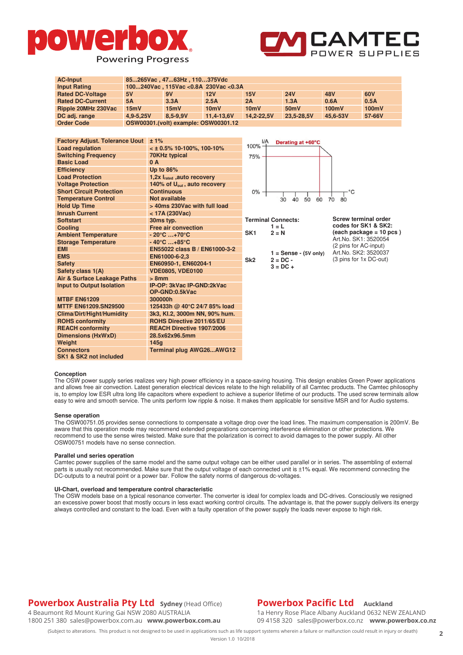



(3 pins for 1x DC-out)

| <b>AC-Input</b>                       | 85265Vac, 4763Hz, 110375Vdc            |                                          |           |                                      |                                                 |                           |            |                                                                           |  |
|---------------------------------------|----------------------------------------|------------------------------------------|-----------|--------------------------------------|-------------------------------------------------|---------------------------|------------|---------------------------------------------------------------------------|--|
| <b>Input Rating</b>                   | 100240Vac, 115Vac < 0.8A 230Vac < 0.3A |                                          |           |                                      |                                                 |                           |            |                                                                           |  |
| <b>Rated DC-Voltage</b>               | 5V                                     | 9V                                       |           | 12V                                  | 15V                                             | <b>24V</b>                | <b>48V</b> | 60V                                                                       |  |
| <b>Rated DC-Current</b>               | 5A                                     | 3.3A                                     |           | 2.5A                                 | 2A                                              | 1.3A                      | 0.6A       | 0.5A                                                                      |  |
| Ripple 20MHz 230Vac                   | 15mV                                   | 15mV                                     |           | 10mV                                 | 10mV                                            | 50 <sub>m</sub> V         | 100mV      | 100mV                                                                     |  |
| DC adj. range                         | 4,9-5,25V                              | $8,5 - 9,9V$                             |           | 11,4-13,6V                           | 14,2-22,5V                                      | 23,5-28,5V                | 45,6-53V   | 57-66V                                                                    |  |
| <b>Order Code</b>                     |                                        |                                          |           | OSW00301.(volt) example: OSW00301.12 |                                                 |                           |            |                                                                           |  |
|                                       |                                        |                                          |           |                                      |                                                 |                           |            |                                                                           |  |
| <b>Factory Adjust. Tolerance Uout</b> |                                        | ±1%                                      |           |                                      | I/A<br>Derating at +60°C                        |                           |            |                                                                           |  |
| <b>Load regulation</b>                |                                        | $\leq$ ± 0.5% 10-100%, 100-10%           |           |                                      | 100%                                            |                           |            |                                                                           |  |
| <b>Switching Frequency</b>            |                                        | <b>70KHz typical</b>                     |           |                                      | 75% .                                           |                           |            |                                                                           |  |
| <b>Basic Load</b>                     |                                        | 0A                                       |           |                                      |                                                 |                           |            |                                                                           |  |
| <b>Efficiency</b>                     |                                        | Up to $86%$                              |           |                                      |                                                 |                           |            |                                                                           |  |
| <b>Load Protection</b>                |                                        | 1,2x $I_{\text{rated}}$ , auto recovery  |           |                                      |                                                 |                           |            |                                                                           |  |
| <b>Voltage Protection</b>             |                                        | 140% of $U_{\text{out}}$ , auto recovery |           |                                      |                                                 |                           |            |                                                                           |  |
| <b>Short Circuit Protection</b>       |                                        | <b>Continuous</b>                        |           |                                      | $0\%$<br>°C<br>30<br>50<br>60<br>40<br>70<br>80 |                           |            |                                                                           |  |
| <b>Temperature Control</b>            |                                        | Not available                            |           |                                      |                                                 |                           |            |                                                                           |  |
| <b>Hold Up Time</b>                   |                                        | > 40ms 230Vac with full load             |           |                                      |                                                 |                           |            |                                                                           |  |
| <b>Inrush Current</b>                 |                                        | $<$ 17A (230Vac)                         |           |                                      |                                                 |                           |            |                                                                           |  |
| <b>Softstart</b>                      |                                        |                                          | 30ms typ. |                                      |                                                 | <b>Terminal Connects:</b> |            | Screw terminal order                                                      |  |
| <b>Cooling</b>                        |                                        | <b>Free air convection</b>               |           |                                      | $1 = L$                                         |                           |            | codes for SK1 & SK2:<br>$(each package = 10 pcs)$<br>Art.No. SK1: 3520054 |  |
| <b>Ambient Temperature</b>            |                                        | $-20^{\circ}$ C +70 $^{\circ}$ C         |           |                                      | SK <sub>1</sub><br>$2 = N$                      |                           |            |                                                                           |  |
| <b>Storage Temperature</b>            |                                        | $-40^{\circ}$ C  +85 $^{\circ}$ C        |           |                                      |                                                 |                           |            |                                                                           |  |
| <b>EMI</b>                            |                                        | EN55022 class B / EN61000-3-2            |           |                                      |                                                 |                           |            | (2 pins for AC-input)<br>Art.No. SK2: 3520037                             |  |
| <b>FAAO</b>                           |                                        | <b>ENGADOO COO</b>                       |           |                                      |                                                 | $1 =$ Sense - (5V only)   |            |                                                                           |  |

#### **Conception**

**Connectors** 

**SK1 & SK2 not included** 

The OSW power supply series realizes very high power efficiency in a space-saving housing. This design enables Green Power applications and allows free air convection. Latest generation electrical devices relate to the high reliability of all Camtec products. The Camtec philosophy is, to employ low ESR ultra long life capacitors where expedient to achieve a superior lifetime of our products. The used screw terminals allow easy to wire and smooth service. The units perform low ripple & noise. It makes them applicable for sensitive MSR and for Audio systems.

**Sk2 2 = DC - 3 = DC +** 

#### **Sense operation**

The OSW00751.05 provides sense connections to compensate a voltage drop over the load lines. The maximum compensation is 200mV. Be aware that this operation mode may recommend extended preparations concerning interference elimination or other protections. We recommend to use the sense wires twisted. Make sure that the polarization is correct to avoid damages to the power supply. All other OSW00751 models have no sense connection.

#### **Parallel und series operation**

Camtec power supplies of the same model and the same output voltage can be either used parallel or in series. The assembling of external parts is usually not recommended. Make sure that the output voltage of each connected unit is ±1% equal. We recommend connecting the DC-outputs to a neutral point or a power bar. Follow the safety norms of dangerous dc-voltages.

#### **UI-Chart, overload and temperature control characteristic**

**EMS EN61000-6-2,3**

Air & Surface Leakage Paths > 8mm<br>Input to Output Isolation IP-OP:

**MTBF EN61209 300000h**

**Weight 145g**

**Dimensions (HxWxD) 28.5x62x96.5mm**

**Safety**<br> **Safety class 1(A)**<br> **COLOGOS, VDE0100**<br> **COLOGOS, VDE0100** 

**Clima/Dirt/Hight/Humidity 3k3, Kl.2, 3000m NN, 90% hum. ROHS conformity**<br> **REACH conformity**<br> **REACH Directive 1907/2006** 

**Safety class 1(A) VDE0805, VDE0100**

**OP-GND:0.5kVac**

**Input to Output Isolation IP-OP: 3kVac IP-GND:2kVac**

**REACH Directive 1907/2006** 

**MTTF EN61209.SN29500 125433h @ 40°C 24/7 85% load**

**Terminal plug AWG26...AWG12**

The OSW models base on a typical resonance converter. The converter is ideal for complex loads and DC-drives. Consciously we resigned an excessive power boost that mostly occurs in less exact working control circuits. The advantage is, that the power supply delivers its energy always controlled and constant to the load. Even with a faulty operation of the power supply the loads never expose to high risk.

### **Powerbox Australia Pty Ltd** sydney (Head Office) 4 Beaumont Rd Mount Kuring Gai NSW 2080 AUSTRALIA

1800 251 380 sales@powerbox.com.au **www.powerbox.com.au**

# **Powerbox Pacific Ltd** Auckland

1a Henry Rose Place Albany Auckland 0632 NEW ZEALAND 09 4158 320 sales@powerbox.co.nz **www.powerbox.co.nz**

(Subject to alterations. This product is not designed to be used in applications such as life support systems wherein a failure or malfunction could result in injury or death) Version 1.0 10/2018 **<sup>2</sup>**